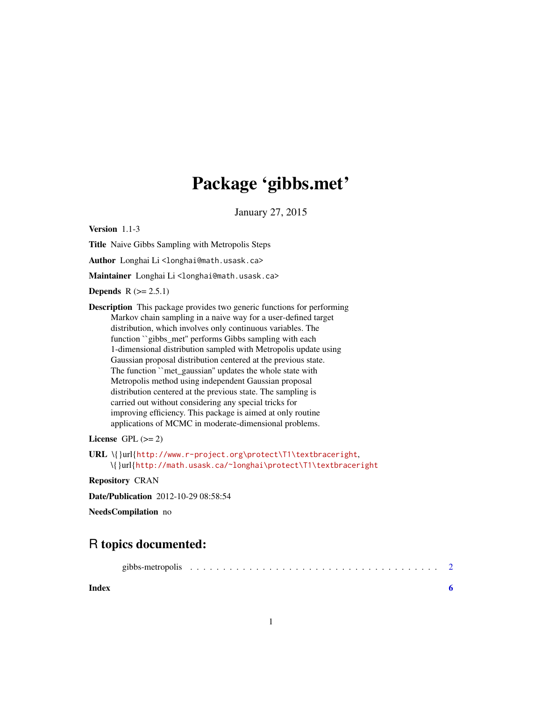# Package 'gibbs.met'

January 27, 2015

Version 1.1-3

Title Naive Gibbs Sampling with Metropolis Steps

Author Longhai Li<longhai@math.usask.ca>

Maintainer Longhai Li<longhai@math.usask.ca>

**Depends**  $R (= 2.5.1)$ 

Description This package provides two generic functions for performing Markov chain sampling in a naive way for a user-defined target distribution, which involves only continuous variables. The function ``gibbs\_met'' performs Gibbs sampling with each 1-dimensional distribution sampled with Metropolis update using Gaussian proposal distribution centered at the previous state. The function ``met\_gaussian'' updates the whole state with Metropolis method using independent Gaussian proposal distribution centered at the previous state. The sampling is carried out without considering any special tricks for improving efficiency. This package is aimed at only routine applications of MCMC in moderate-dimensional problems.

License GPL  $(>= 2)$ 

URL \{}url{[http://www.r-project.org\protect\T1\textbraceright](http://www.r-project.org\protect \T1\textbraceright ), \{}url{[http://math.usask.ca/~longhai\protect\T1\textbraceright](http://math.usask.ca/~longhai\protect \T1\textbraceright )

#### Repository CRAN

Date/Publication 2012-10-29 08:58:54

NeedsCompilation no

## R topics documented:

|--|--|--|

**Index** [6](#page-5-0) **6**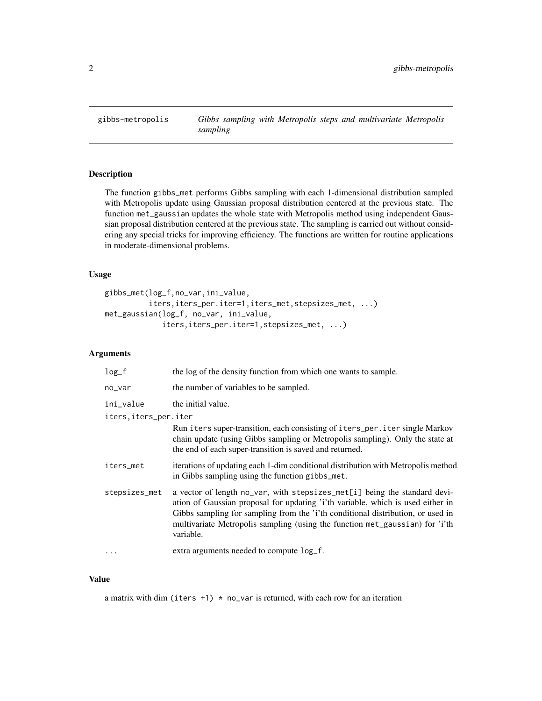<span id="page-1-0"></span>

#### Description

The function gibbs\_met performs Gibbs sampling with each 1-dimensional distribution sampled with Metropolis update using Gaussian proposal distribution centered at the previous state. The function met\_gaussian updates the whole state with Metropolis method using independent Gaussian proposal distribution centered at the previous state. The sampling is carried out without considering any special tricks for improving efficiency. The functions are written for routine applications in moderate-dimensional problems.

#### Usage

```
gibbs_met(log_f,no_var,ini_value,
          iters,iters_per.iter=1,iters_met,stepsizes_met, ...)
met_gaussian(log_f, no_var, ini_value,
             iters,iters_per.iter=1,stepsizes_met, ...)
```
#### Arguments

| $log_f$                | the log of the density function from which one wants to sample.                                                                                                                                                                                                                                                                              |
|------------------------|----------------------------------------------------------------------------------------------------------------------------------------------------------------------------------------------------------------------------------------------------------------------------------------------------------------------------------------------|
| no_var                 | the number of variables to be sampled.                                                                                                                                                                                                                                                                                                       |
| ini_value              | the initial value.                                                                                                                                                                                                                                                                                                                           |
| iters, iters_per. iter |                                                                                                                                                                                                                                                                                                                                              |
|                        | Run iters super-transition, each consisting of iters_per.iter single Markov<br>chain update (using Gibbs sampling or Metropolis sampling). Only the state at<br>the end of each super-transition is saved and returned.                                                                                                                      |
| iters_met              | iterations of updating each 1-dim conditional distribution with Metropolis method<br>in Gibbs sampling using the function gibbs_met.                                                                                                                                                                                                         |
| stepsizes_met          | a vector of length no_var, with stepsizes_met[i] being the standard devi-<br>ation of Gaussian proposal for updating 'i'th variable, which is used either in<br>Gibbs sampling for sampling from the 'i'th conditional distribution, or used in<br>multivariate Metropolis sampling (using the function met_gaussian) for 'i'th<br>variable. |
| .                      | extra arguments needed to compute log_f.                                                                                                                                                                                                                                                                                                     |

#### Value

a matrix with dim (iters  $+1$ )  $*$  no\_var is returned, with each row for an iteration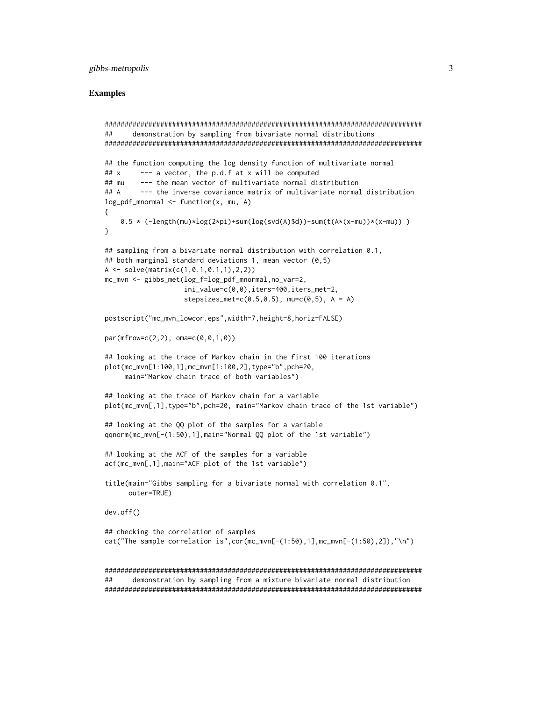#### gibbs-metropolis

#### **Examples**

```
##
      demonstration by sampling from bivariate normal distributions
## the function computing the log density function of multivariate normal
## x--- a vector, the p.d.f at x will be computed## mu
        --- the mean vector of multivariate normal distribution
## A--- the inverse covariance matrix of multivariate normal distribution
log_pdf_mnormal \leftarrow function(x, mu, A)€
   0.5 \times (-length(mu) \times log(2 \times pi) + sum(log(svd(A) \text{ad})) - sum(t(A \times (x-mu)) \times (x-mu)) )\lambda## sampling from a bivariate normal distribution with correlation 0.1,
## both marginal standard deviations 1, mean vector (0,5)
A \leftarrow solve(matrix(c(1, 0.1, 0.1, 1), 2, 2))mc_mvn \leq gibbs_met(log_f=log_pdf_mnormal,no_var=2,
                 ini_value=c(0,0), iters=400, iters_met=2,
                 stepsizes_met=c(0.5,0.5), mu=c(0,5), A = A)
postscript("mc_mvn_lowcor.eps",width=7,height=8,horiz=FALSE)
par(mfrow=c(2,2), oma=c(0,0,1,0))## looking at the trace of Markov chain in the first 100 iterations
plot(mc_mvn[1:100,1],mc_mvn[1:100,2],type="b",pch=20,
    main="Markov chain trace of both variables")
## looking at the trace of Markov chain for a variable
plot(mc_mvn[,1],type="b",pch=20, main="Markov chain trace of the 1st variable")
## looking at the QQ plot of the samples for a variable
qqnorm(mc_mvn[-(1:50),1],main="Normal QQ plot of the 1st variable")
## looking at the ACF of the samples for a variable
acf(mc_mvn[,1],main="ACF plot of the 1st variable")
title(main="Gibbs sampling for a bivariate normal with correlation 0.1",
     outer=TRUE)
dev.off()## checking the correlation of samples
cat("The sample correlation is", cor(mc_mvn[-(1:50),1], mc_mvn[-(1:50),2]),"\n")
##
      demonstration by sampling from a mixture bivariate normal distribution
```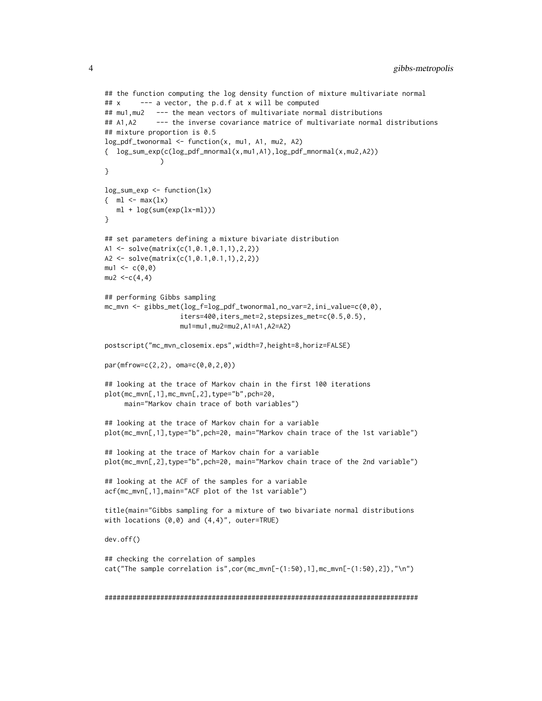```
## the function computing the log density function of mixture multivariate normal
## x --- a vector, the p.d.f at x will be computed
## mu1,mu2 --- the mean vectors of multivariate normal distributions
## A1, A2 --- the inverse covariance matrice of multivariate normal distributions
## mixture proportion is 0.5
log_pdf_t wonormal <- function(x, mu1, A1, mu2, A2)
{ log_sum_exp(c(log_pdf_mnormal(x,mu1,A1),log_pdf_mnormal(x,mu2,A2))
              )
}
log\_sum\_exp \leftarrow function(lx)\{ ml \leq max(lx)ml + log(sum(exp(lx-ml)))
}
## set parameters defining a mixture bivariate distribution
A1 <- solve(matrix(c(1,0.1,0.1,1),2,2))
A2 <- solve(matrix(c(1,0.1,0.1,1),2,2))
mu1 < -c(0, 0)mu2 < -c(4, 4)## performing Gibbs sampling
mc_mvn <- gibbs_met(log_f=log_pdf_twonormal,no_var=2,ini_value=c(0,0),
                   iters=400,iters_met=2,stepsizes_met=c(0.5,0.5),
                   mu1=mu1,mu2=mu2,A1=A1,A2=A2)
postscript("mc_mvn_closemix.eps",width=7,height=8,horiz=FALSE)
par(mfrow=c(2,2), oma=c(0,0,2,0))
## looking at the trace of Markov chain in the first 100 iterations
plot(mc_mvn[,1],mc_mvn[,2],type="b",pch=20,
     main="Markov chain trace of both variables")
## looking at the trace of Markov chain for a variable
plot(mc_mvn[,1],type="b",pch=20, main="Markov chain trace of the 1st variable")
## looking at the trace of Markov chain for a variable
plot(mc_mvn[,2],type="b",pch=20, main="Markov chain trace of the 2nd variable")
## looking at the ACF of the samples for a variable
acf(mc_mvn[,1],main="ACF plot of the 1st variable")
title(main="Gibbs sampling for a mixture of two bivariate normal distributions
with locations (0,0) and (4,4)', outer=TRUE)
dev.off()
## checking the correlation of samples
cat("The sample correlation is",cor(mc_mvn[-(1:50),1],mc_mvn[-(1:50),2]),"\n")
```
###############################################################################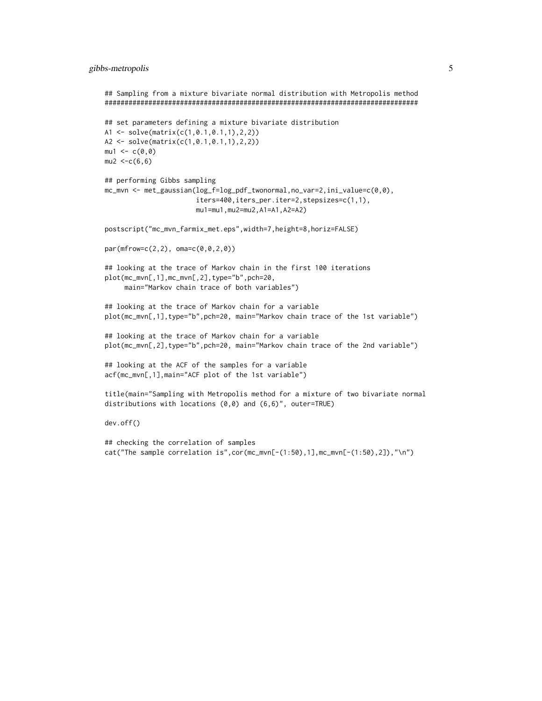```
## Sampling from a mixture bivariate normal distribution with Metropolis method
###############################################################################
## set parameters defining a mixture bivariate distribution
A1 <- solve(matrix(c(1,0.1,0.1,1),2,2))
A2 <- solve(matrix(c(1,0.1,0.1,1),2,2))
mu1 < -c(0, 0)mu2 < -c(6, 6)## performing Gibbs sampling
mc_mvn <- met_gaussian(log_f=log_pdf_twonormal,no_var=2,ini_value=c(0,0),
                       iters=400,iters_per.iter=2,stepsizes=c(1,1),
                       mu1=mu1,mu2=mu2,A1=A1,A2=A2)
postscript("mc_mvn_farmix_met.eps",width=7,height=8,horiz=FALSE)
par(mfrow=c(2,2), oma=c(0,0,2,0))
## looking at the trace of Markov chain in the first 100 iterations
plot(mc_mvn[,1],mc_mvn[,2],type="b",pch=20,
     main="Markov chain trace of both variables")
## looking at the trace of Markov chain for a variable
plot(mc_mvn[,1],type="b",pch=20, main="Markov chain trace of the 1st variable")
## looking at the trace of Markov chain for a variable
plot(mc_mvn[,2],type="b",pch=20, main="Markov chain trace of the 2nd variable")
## looking at the ACF of the samples for a variable
acf(mc_mvn[,1],main="ACF plot of the 1st variable")
title(main="Sampling with Metropolis method for a mixture of two bivariate normal
distributions with locations (0,0) and (6,6)", outer=TRUE)
dev.off()
## checking the correlation of samples
cat("The sample correlation is",cor(mc_mvn[-(1:50),1],mc_mvn[-(1:50),2]),"\n")
```